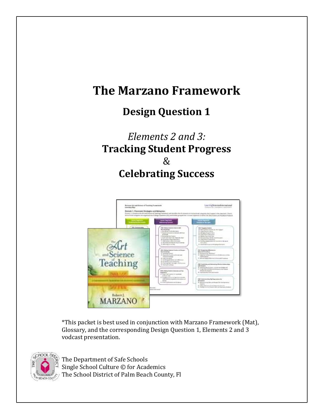# **The Marzano Framework**

## **Design Question 1**

## *Elements 2 and 3:* **Tracking Student Progress** & **Celebrating Success**



\*This packet is best used in conjunction with Marzano Framework (Mat), Glossary, and the corresponding Design Question 1, Elements 2 and 3 vodcast presentation.



The Department of Safe Schools Single School Culture © for Academics The School District of Palm Beach County, Fl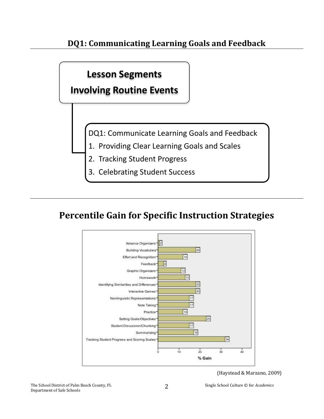

## **Percentile Gain for Specific Instruction Strategies**



<sup>(</sup>Haystead & Marzano, 2009)

The School District of Palm Beach County, FL Single School Culture © for *Academics*<br>Department of Safe Schools 2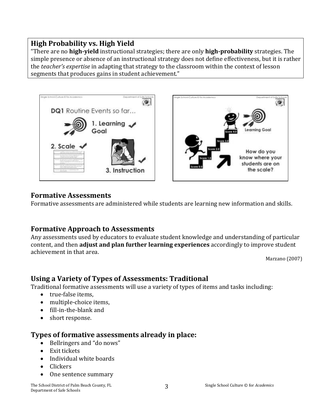### **High Probability vs. High Yield**

"There are no **high-yield** instructional strategies; there are only **high-probability** strategies. The simple presence or absence of an instructional strategy does not define effectiveness, but it is rather the *teacher's expertise* in adapting that strategy to the classroom within the context of lesson segments that produces gains in student achievement."



#### **Formative Assessments**

Formative assessments are administered while students are learning new information and skills.

#### **Formative Approach to Assessments**

Any assessments used by educators to evaluate student knowledge and understanding of particular content, and then **adjust and plan further learning experiences** accordingly to improve student achievement in that area.

Marzano (2007)

#### **Using a Variety of Types of Assessments: Traditional**

Traditional formative assessments will use a variety of types of items and tasks including:

- true-false items,
- multiple-choice items,
- fill-in-the-blank and
- short response.

#### **Types of formative assessments already in place:**

- Bellringers and "do nows"
- Exit tickets
- Individual white boards
- Clickers
- One sentence summary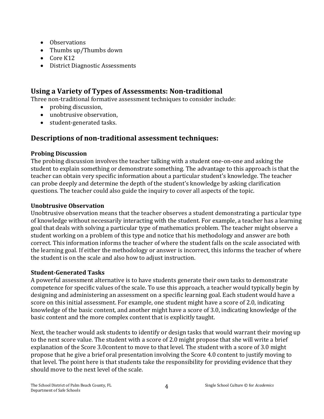- Observations
- Thumbs up/Thumbs down
- Core K12
- District Diagnostic Assessments

## **Using a Variety of Types of Assessments: Non-traditional**

Three non-traditional formative assessment techniques to consider include:

- probing discussion,
- unobtrusive observation,
- student-generated tasks.

## **Descriptions of non-traditional assessment techniques:**

#### **Probing Discussion**

The probing discussion involves the teacher talking with a student one-on-one and asking the student to explain something or demonstrate something. The advantage to this approach is that the teacher can obtain very specific information about a particular student's knowledge. The teacher can probe deeply and determine the depth of the student's knowledge by asking clarification questions. The teacher could also guide the inquiry to cover all aspects of the topic.

#### **Unobtrusive Observation**

Unobtrusive observation means that the teacher observes a student demonstrating a particular type of knowledge without necessarily interacting with the student. For example, a teacher has a learning goal that deals with solving a particular type of mathematics problem. The teacher might observe a student working on a problem of this type and notice that his methodology and answer are both correct. This information informs the teacher of where the student falls on the scale associated with the learning goal. If either the methodology or answer is incorrect, this informs the teacher of where the student is on the scale and also how to adjust instruction.

#### **Student-Generated Tasks**

A powerful assessment alternative is to have students generate their own tasks to demonstrate competence for specific values of the scale. To use this approach, a teacher would typically begin by designing and administering an assessment on a specific learning goal. Each student would have a score on this initial assessment. For example, one student might have a score of 2.0, indicating knowledge of the basic content, and another might have a score of 3.0, indicating knowledge of the basic content and the more complex content that is explicitly taught.

Next, the teacher would ask students to identify or design tasks that would warrant their moving up to the next score value. The student with a score of 2.0 might propose that she will write a brief explanation of the Score 3.0content to move to that level. The student with a score of 3.0 might propose that he give a brief oral presentation involving the Score 4.0 content to justify moving to that level. The point here is that students take the responsibility for providing evidence that they should move to the next level of the scale.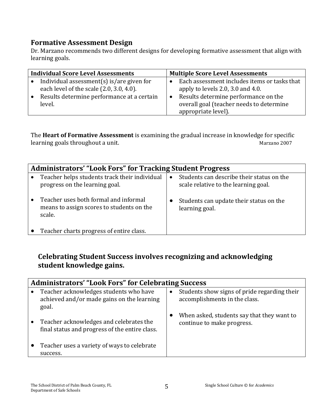### **Formative Assessment Design**

Dr. Marzano recommends two different designs for developing formative assessment that align with learning goals.

| <b>Individual Score Level Assessments</b> |                                                                                                                                                  | <b>Multiple Score Level Assessments</b> |                                                                                                                                                                                              |
|-------------------------------------------|--------------------------------------------------------------------------------------------------------------------------------------------------|-----------------------------------------|----------------------------------------------------------------------------------------------------------------------------------------------------------------------------------------------|
| $\bullet$                                 | Individual assessment $(s)$ is/are given for<br>each level of the scale (2.0, 3.0, 4.0).<br>Results determine performance at a certain<br>level. | $\bullet$                               | Each assessment includes items or tasks that<br>apply to levels 2.0, 3.0 and 4.0.<br>Results determine performance on the<br>overall goal (teacher needs to determine<br>appropriate level). |

The **Heart of Formative Assessment** is examining the gradual increase in knowledge for specific learning goals throughout a unit. The same state of the Marzano 2007 Marzano 2007

| <b>Administrators' "Look Fors" for Tracking Student Progress</b> |                                                                                              |           |                                                                                   |  |  |
|------------------------------------------------------------------|----------------------------------------------------------------------------------------------|-----------|-----------------------------------------------------------------------------------|--|--|
|                                                                  | Teacher helps students track their individual<br>progress on the learning goal.              | $\bullet$ | Students can describe their status on the<br>scale relative to the learning goal. |  |  |
|                                                                  | Teacher uses both formal and informal<br>means to assign scores to students on the<br>scale. |           | Students can update their status on the<br>learning goal.                         |  |  |
|                                                                  | Teacher charts progress of entire class.                                                     |           |                                                                                   |  |  |

## **Celebrating Student Success involves recognizing and acknowledging student knowledge gains.**

| <b>Administrators' "Look Fors" for Celebrating Success</b>                                    |                                                                                            |  |  |  |  |
|-----------------------------------------------------------------------------------------------|--------------------------------------------------------------------------------------------|--|--|--|--|
| Teacher acknowledges students who have<br>achieved and/or made gains on the learning<br>goal. | Students show signs of pride regarding their<br>$\bullet$<br>accomplishments in the class. |  |  |  |  |
| Teacher acknowledges and celebrates the<br>final status and progress of the entire class.     | When asked, students say that they want to<br>continue to make progress.                   |  |  |  |  |
| Teacher uses a variety of ways to celebrate<br>success.                                       |                                                                                            |  |  |  |  |